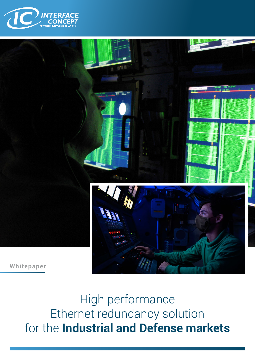



High performance Ethernet redundancy solution for the **Industrial and Defense markets**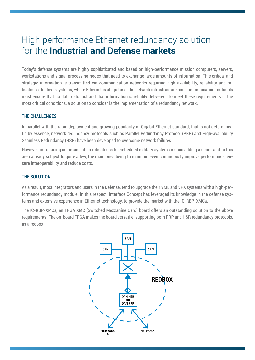# High performance Ethernet redundancy solution for the **Industrial and Defense markets**

Today's defense systems are highly sophisticated and based on high-performance mission computers, servers, workstations and signal processing nodes that need to exchange large amounts of information. This critical and strategic information is transmitted via communication networks requiring high availability, reliability and robustness. In these systems, where Ethernet is ubiquitous, the network infrastructure and communication protocols must ensure that no data gets lost and that information is reliably delivered. To meet these requirements in the most critical conditions, a solution to consider is the implementation of a redundancy network.

# **THE CHALLENGES**

In parallel with the rapid deployment and growing popularity of Gigabit Ethernet standard, that is not deterministic by essence, network redundancy protocols such as Parallel Redundancy Protocol (PRP) and High-availability Seamless Redundancy (HSR) have been developed to overcome network failures.

However, introducing communication robustness to embedded military systems means adding a constraint to this area already subject to quite a few, the main ones being to maintain even continuously improve performance, ensure interoperability and reduce costs.

# **THE SOLUTION**

As a result, most integrators and users in the Defense, tend to upgrade their VME and VPX systems with a high-performance redundancy module. In this respect, Interface Concept has leveraged its knowledge in the defense systems and extensive experience in Ethernet technology, to provide the market with the IC-RBP-XMCa.

The IC-RBP-XMCa, an FPGA XMC (Switched Mezzanine Card) board offers an outstanding solution to the above requirements. The on-board FPGA makes the board versatile, supporting both PRP and HSR redundancy protocols, as a redbox:

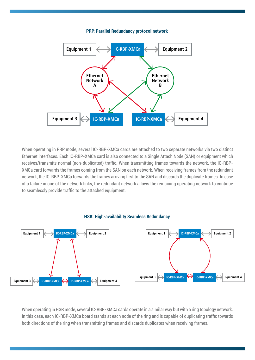### **PRP: Parallel Redundancy protocol network**



When operating in PRP mode, several IC-RBP-XMCa cards are attached to two separate networks via two distinct Ethernet interfaces. Each IC-RBP-XMCa card is also connected to a Single Attach Node (SAN) or equipment which receives/transmits normal (non-duplicated) traffic. When transmitting frames towards the network, the IC-RBP-XMCa card forwards the frames coming from the SAN on each network. When receiving frames from the redundant network, the IC-RBP-XMCa forwards the frames arriving first to the SAN and discards the duplicate frames. In case of a failure in one of the network links, the redundant network allows the remaining operating network to continue to seamlessly provide traffic to the attached equipment.



#### **HSR: High-availability Seamless Redundancy**

When operating in HSR mode, several IC-RBP-XMCa cards operate in a similar way but with a ring topology network. In this case, each IC-RBP-XMCa board stands at each node of the ring and is capable of duplicating traffic towards both directions of the ring when transmitting frames and discards duplicates when receiving frames.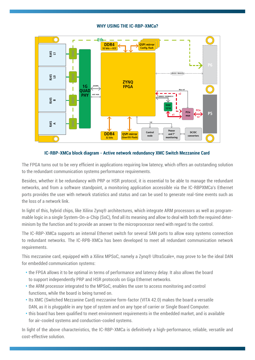# **WHY USING THE IC-RBP-XMCa?**



# **IC-RBP-XMCa block diagram - Active network redundancy XMC Switch Mezzanine Card**

The FPGA turns out to be very efficient in applications requiring low latency, which offers an outstanding solution to the redundant communication systems performance requirements.

Besides, whether it be redundancy with PRP or HSR protocol, it is essential to be able to manage the redundant networks, and from a software standpoint, a monitoring application accessible via the IC-RBPXMCa's Ethernet ports provides the user with network statistics and status and can be used to generate real-time events such as the loss of a network link.

In light of this, hybrid chips, like Xilinx Zynq® architectures, which integrate ARM processors as well as programmable logic in a single System-On-a-Chip (SoC), find all its meaning and allow to deal with both the required determinism by the function and to provide an answer to the microprocessor need with regard to the control.

The IC-RBP-XMCa supports an internal Ethernet switch for several SAN ports to allow easy systems connection to redundant networks. The IC-RPB-XMCa has been developed to meet all redundant communication network requirements.

This mezzanine card, equipped with a Xilinx MPSoC, namely a Zynq® UltraScale+, may prove to be the ideal DAN for embedded communication systems:

- **•** the FPGA allows it to be optimal in terms of performance and latency delay. It also allows the board to support independently PRP and HSR protocols on Giga Ethernet networks.
- **•** the ARM processor integrated to the MPSoC, enables the user to access monitoring and control functions, while the board is being turned on.
- **•** Its XMC (Switched Mezzanine Card) mezzanine form-factor (VITA 42.0) makes the board a versatile DAN, as it is pluggable in any type of system and on any type of carrier or Single Board Computer.
- **•** this board has been qualified to meet environment requirements in the embedded market, and is available for air-cooled systems and conduction-cooled systems.

In light of the above characteristics, the IC-RBP-XMCa is definitively a high-performance, reliable, versatile and cost-effective solution.